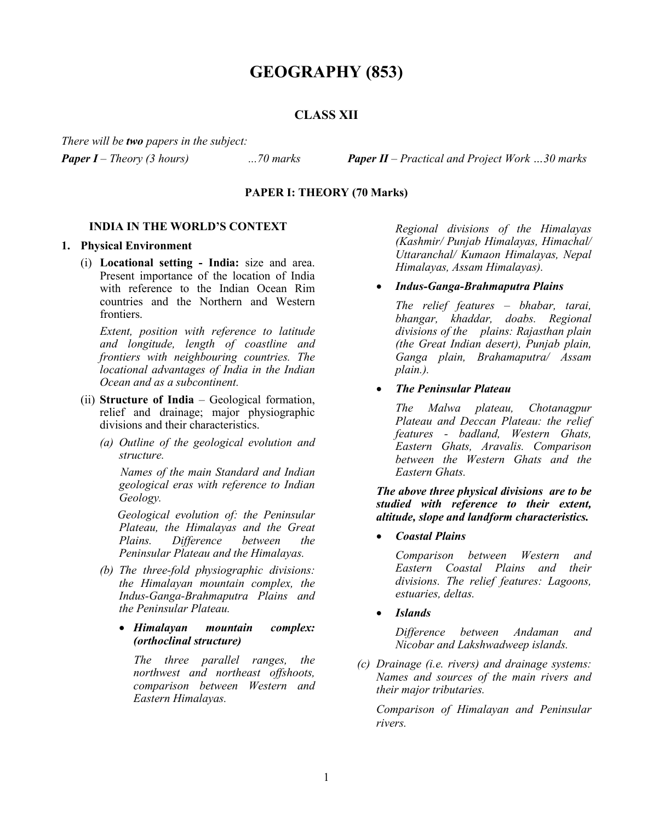# **GEOGRAPHY (853)**

# **CLASS XII**

*There will be two papers in the subject:*

*Paper I – Theory (3 hours) ...70 marks Paper II – Practical and Project Work …30 marks*

# **PAPER I: THEORY (70 Marks)**

## **INDIA IN THE WORLD'S CONTEXT**

#### **1. Physical Environment**

(i) **Locational setting - India:** size and area. Present importance of the location of India with reference to the Indian Ocean Rim countries and the Northern and Western frontiers.

*Extent, position with reference to latitude and longitude, length of coastline and frontiers with neighbouring countries. The locational advantages of India in the Indian Ocean and as a subcontinent.*

- (ii) **Structure of India** Geological formation, relief and drainage; major physiographic divisions and their characteristics.
	- *(a) Outline of the geological evolution and structure.*

 *Names of the main Standard and Indian geological eras with reference to Indian Geology.*

 *Geological evolution of: the Peninsular Plateau, the Himalayas and the Great Plains. Difference between the Peninsular Plateau and the Himalayas.* 

- *(b) The three-fold physiographic divisions: the Himalayan mountain complex, the Indus-Ganga-Brahmaputra Plains and the Peninsular Plateau.*
	- *Himalayan mountain complex: (orthoclinal structure)*

 *The three parallel ranges, the northwest and northeast offshoots, comparison between Western and Eastern Himalayas.* 

*Regional divisions of the Himalayas (Kashmir/ Punjab Himalayas, Himachal/ Uttaranchal/ Kumaon Himalayas, Nepal Himalayas, Assam Himalayas).*

• *Indus-Ganga-Brahmaputra Plains*

*The relief features – bhabar, tarai, bhangar, khaddar, doabs. Regional divisions of the plains: Rajasthan plain (the Great Indian desert), Punjab plain, Ganga plain, Brahamaputra/ Assam plain.).*

• *The Peninsular Plateau*

*The Malwa plateau, Chotanagpur Plateau and Deccan Plateau: the relief features - badland, Western Ghats, Eastern Ghats, Aravalis. Comparison between the Western Ghats and the Eastern Ghats.*

*The above three physical divisions are to be studied with reference to their extent, altitude, slope and landform characteristics.*

• *Coastal Plains*

*Comparison between Western and Eastern Coastal Plains and their divisions. The relief features: Lagoons, estuaries, deltas.*

• *Islands*

*Difference between Andaman and Nicobar and Lakshwadweep islands.*

*(c) Drainage (i.e. rivers) and drainage systems: Names and sources of the main rivers and their major tributaries.*

*Comparison of Himalayan and Peninsular rivers.*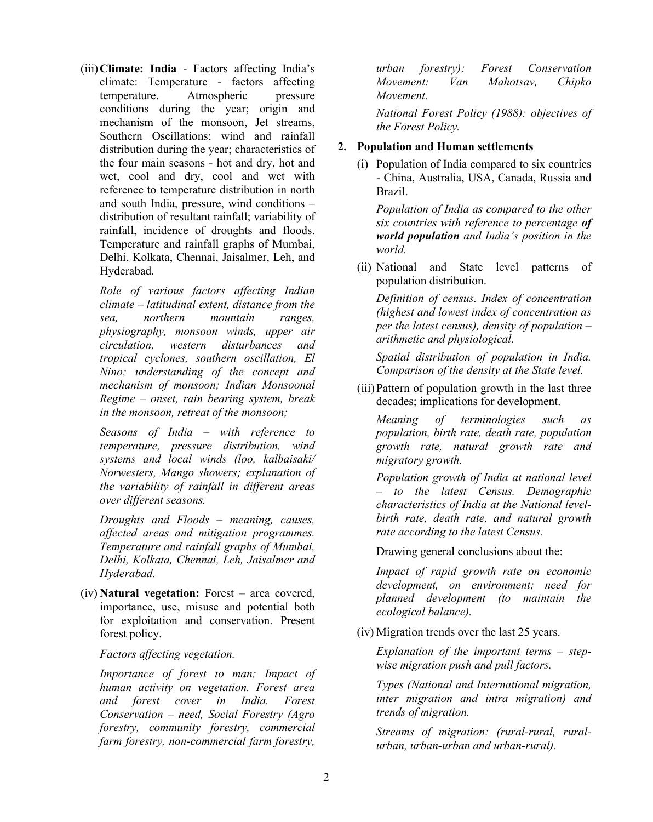(iii)**Climate: India** - Factors affecting India's climate: Temperature - factors affecting temperature. Atmospheric pressure conditions during the year; origin and mechanism of the monsoon, Jet streams, Southern Oscillations; wind and rainfall distribution during the year; characteristics of the four main seasons - hot and dry, hot and wet, cool and dry, cool and wet with reference to temperature distribution in north and south India, pressure, wind conditions – distribution of resultant rainfall; variability of rainfall, incidence of droughts and floods. Temperature and rainfall graphs of Mumbai, Delhi, Kolkata, Chennai, Jaisalmer, Leh, and Hyderabad.

*Role of various factors affecting Indian climate – latitudinal extent, distance from the sea, northern mountain ranges, physiography, monsoon winds, upper air circulation, western disturbances and tropical cyclones, southern oscillation, El Nino; understanding of the concept and mechanism of monsoon; Indian Monsoonal Regime – onset, rain bearing system, break in the monsoon, retreat of the monsoon;* 

*Seasons of India – with reference to temperature, pressure distribution, wind systems and local winds (loo, kalbaisaki/ Norwesters, Mango showers; explanation of the variability of rainfall in different areas over different seasons.* 

*Droughts and Floods – meaning, causes, affected areas and mitigation programmes. Temperature and rainfall graphs of Mumbai, Delhi, Kolkata, Chennai, Leh, Jaisalmer and Hyderabad.* 

(iv) **Natural vegetation:** Forest – area covered, importance, use, misuse and potential both for exploitation and conservation. Present forest policy.

## *Factors affecting vegetation.*

*Importance of forest to man; Impact of human activity on vegetation. Forest area and forest cover in India. Forest Conservation – need, Social Forestry (Agro forestry, community forestry, commercial farm forestry, non-commercial farm forestry,* 

*urban forestry); Forest Conservation Movement: Van Mahotsav, Chipko Movement.*

*National Forest Policy (1988): objectives of the Forest Policy.*

# **2. Population and Human settlements**

(i) Population of India compared to six countries - China, Australia, USA, Canada, Russia and Brazil.

*Population of India as compared to the other six countries with reference to percentage of world population and India's position in the world.* 

(ii) National and State level patterns of population distribution.

*Definition of census. Index of concentration (highest and lowest index of concentration as per the latest census), density of population – arithmetic and physiological.*

*Spatial distribution of population in India. Comparison of the density at the State level.*

(iii)Pattern of population growth in the last three decades; implications for development.

*Meaning of terminologies such as population, birth rate, death rate, population growth rate, natural growth rate and migratory growth.*

*Population growth of India at national level – to the latest Census. Demographic characteristics of India at the National levelbirth rate, death rate, and natural growth rate according to the latest Census.*

Drawing general conclusions about the:

*Impact of rapid growth rate on economic development, on environment; need for planned development (to maintain the ecological balance).*

(iv) Migration trends over the last 25 years.

*Explanation of the important terms – stepwise migration push and pull factors.* 

*Types (National and International migration, inter migration and intra migration) and trends of migration.* 

*Streams of migration: (rural-rural, ruralurban, urban-urban and urban-rural).*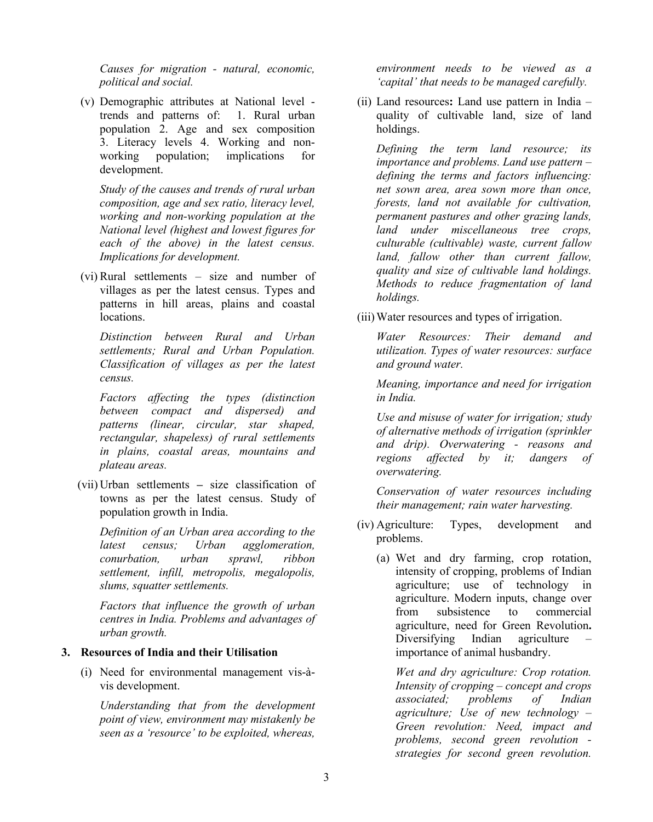*Causes for migration - natural, economic, political and social.* 

(v) Demographic attributes at National level trends and patterns of: 1. Rural urban population 2. Age and sex composition 3. Literacy levels 4. Working and nonworking population; implications for development.

*Study of the causes and trends of rural urban composition, age and sex ratio, literacy level, working and non-working population at the National level (highest and lowest figures for each of the above) in the latest census. Implications for development.*

(vi) Rural settlements – size and number of villages as per the latest census. Types and patterns in hill areas, plains and coastal locations.

*Distinction between Rural and Urban settlements; Rural and Urban Population. Classification of villages as per the latest census.* 

*Factors affecting the types (distinction between compact and dispersed) and patterns (linear, circular, star shaped, rectangular, shapeless) of rural settlements in plains, coastal areas, mountains and plateau areas.*

(vii) Urban settlements **–** size classification of towns as per the latest census. Study of population growth in India.

*Definition of an Urban area according to the latest census; Urban agglomeration, conurbation, urban sprawl, ribbon settlement, infill, metropolis, megalopolis, slums, squatter settlements.*

*Factors that influence the growth of urban centres in India. Problems and advantages of urban growth.*

## **3. Resources of India and their Utilisation**

(i) Need for environmental management vis-àvis development.

*Understanding that from the development point of view, environment may mistakenly be seen as a 'resource' to be exploited, whereas,* 

*environment needs to be viewed as a 'capital' that needs to be managed carefully.*

(ii) Land resources**:** Land use pattern in India – quality of cultivable land, size of land holdings.

*Defining the term land resource; its importance and problems. Land use pattern – defining the terms and factors influencing: net sown area, area sown more than once, forests, land not available for cultivation, permanent pastures and other grazing lands, land under miscellaneous tree crops, culturable (cultivable) waste, current fallow land, fallow other than current fallow, quality and size of cultivable land holdings. Methods to reduce fragmentation of land holdings.*

(iii)Water resources and types of irrigation.

*Water Resources: Their demand and utilization. Types of water resources: surface and ground water.* 

*Meaning, importance and need for irrigation in India.* 

*Use and misuse of water for irrigation; study of alternative methods of irrigation (sprinkler and drip). Overwatering - reasons and regions affected by it; dangers of overwatering.*

*Conservation of water resources including their management; rain water harvesting.*

- (iv) Agriculture: Types, development and problems.
	- (a) Wet and dry farming, crop rotation, intensity of cropping, problems of Indian agriculture; use of technology in agriculture. Modern inputs, change over from subsistence to commercial agriculture, need for Green Revolution**.**  Diversifying Indian agriculture importance of animal husbandry.

*Wet and dry agriculture: Crop rotation. Intensity of cropping – concept and crops associated; problems of Indian agriculture; Use of new technology – Green revolution: Need, impact and problems, second green revolution strategies for second green revolution.*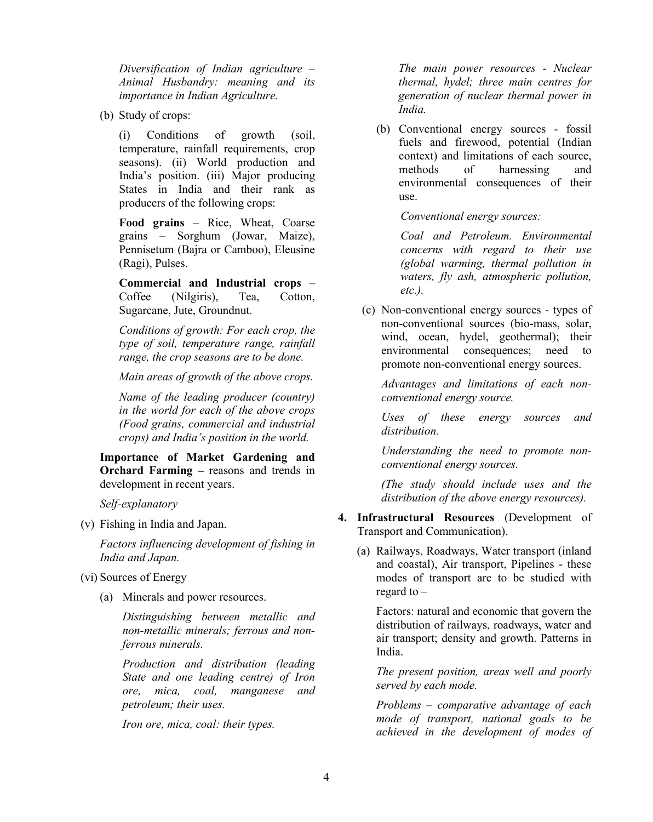*Diversification of Indian agriculture – Animal Husbandry: meaning and its importance in Indian Agriculture.* 

(b) Study of crops:

(i) Conditions of growth (soil, temperature, rainfall requirements, crop seasons). (ii) World production and India's position. (iii) Major producing States in India and their rank as producers of the following crops:

**Food grains** – Rice, Wheat, Coarse grains – Sorghum (Jowar, Maize), Pennisetum (Bajra or Camboo), Eleusine (Ragi), Pulses.

**Commercial and Industrial crops** – Coffee (Nilgiris), Tea, Cotton, Sugarcane, Jute, Groundnut.

*Conditions of growth: For each crop, the type of soil, temperature range, rainfall range, the crop seasons are to be done.* 

*Main areas of growth of the above crops.*

*Name of the leading producer (country) in the world for each of the above crops (Food grains, commercial and industrial crops) and India's position in the world.* 

**Importance of Market Gardening and Orchard Farming –** reasons and trends in development in recent years.

*Self-explanatory*

(v) Fishing in India and Japan.

*Factors influencing development of fishing in India and Japan.*

- (vi) Sources of Energy
	- (a) Minerals and power resources.

*Distinguishing between metallic and non-metallic minerals; ferrous and nonferrous minerals.*

*Production and distribution (leading State and one leading centre) of Iron ore, mica, coal, manganese and petroleum; their uses.*

*Iron ore, mica, coal: their types.* 

*The main power resources - Nuclear thermal, hydel; three main centres for generation of nuclear thermal power in India.* 

(b) Conventional energy sources - fossil fuels and firewood, potential (Indian context) and limitations of each source, methods of harnessing and environmental consequences of their use.

*Conventional energy sources:*

*Coal and Petroleum. Environmental concerns with regard to their use (global warming, thermal pollution in waters, fly ash, atmospheric pollution, etc.).* 

(c) Non-conventional energy sources - types of non-conventional sources (bio-mass, solar, wind, ocean, hydel, geothermal); their environmental consequences; need to promote non-conventional energy sources.

*Advantages and limitations of each nonconventional energy source.* 

*Uses of these energy sources and distribution.* 

*Understanding the need to promote nonconventional energy sources.*

*(The study should include uses and the distribution of the above energy resources).*

- **4. Infrastructural Resources** (Development of Transport and Communication).
	- (a) Railways, Roadways, Water transport (inland and coastal), Air transport, Pipelines - these modes of transport are to be studied with regard to –

Factors: natural and economic that govern the distribution of railways, roadways, water and air transport; density and growth. Patterns in India.

*The present position, areas well and poorly served by each mode.*

*Problems – comparative advantage of each mode of transport, national goals to be achieved in the development of modes of*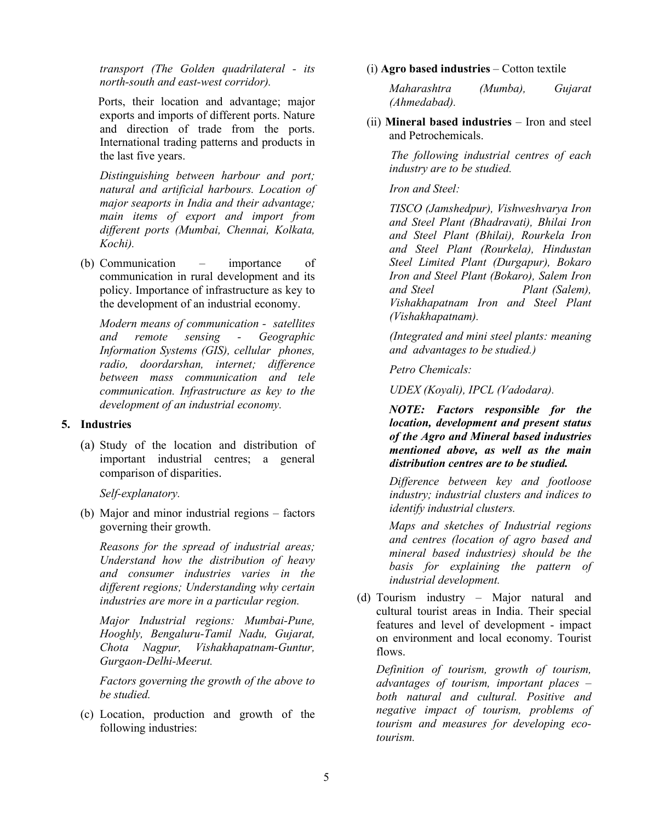*transport (The Golden quadrilateral - its north-south and east-west corridor).* 

 Ports, their location and advantage; major exports and imports of different ports. Nature and direction of trade from the ports. International trading patterns and products in the last five years.

*Distinguishing between harbour and port; natural and artificial harbours. Location of major seaports in India and their advantage; main items of export and import from different ports (Mumbai, Chennai, Kolkata, Kochi).*

(b) Communication – importance of communication in rural development and its policy. Importance of infrastructure as key to the development of an industrial economy.

*Modern means of communication - satellites and remote sensing - Geographic Information Systems (GIS), cellular phones, radio, doordarshan, internet; difference between mass communication and tele communication. Infrastructure as key to the development of an industrial economy.* 

## **5. Industries**

(a) Study of the location and distribution of important industrial centres; a general comparison of disparities.

## *Self-explanatory.*

(b) Major and minor industrial regions – factors governing their growth.

*Reasons for the spread of industrial areas; Understand how the distribution of heavy and consumer industries varies in the different regions; Understanding why certain industries are more in a particular region.*

*Major Industrial regions: Mumbai-Pune, Hooghly, Bengaluru-Tamil Nadu, Gujarat, Chota Nagpur, Vishakhapatnam-Guntur, Gurgaon-Delhi-Meerut.*

*Factors governing the growth of the above to be studied.*

(c) Location, production and growth of the following industries:

## (i) **Agro based industries** – Cotton textile

*Maharashtra (Mumba), Gujarat (Ahmedabad).*

(ii) **Mineral based industries** – Iron and steel and Petrochemicals.

> *The following industrial centres of each industry are to be studied.*

#### *Iron and Steel:*

*TISCO (Jamshedpur), Vishweshvarya Iron and Steel Plant (Bhadravati), Bhilai Iron and Steel Plant (Bhilai), Rourkela Iron and Steel Plant (Rourkela), Hindustan Steel Limited Plant (Durgapur), Bokaro Iron and Steel Plant (Bokaro), Salem Iron and Steel Plant (Salem), Vishakhapatnam Iron and Steel Plant (Vishakhapatnam).*

*(Integrated and mini steel plants: meaning and advantages to be studied.)*

*Petro Chemicals:*

*UDEX (Koyali), IPCL (Vadodara).*

 *NOTE: Factors responsible for the location, development and present status of the Agro and Mineral based industries mentioned above, as well as the main distribution centres are to be studied.*

*Difference between key and footloose industry; industrial clusters and indices to identify industrial clusters.*

*Maps and sketches of Industrial regions and centres (location of agro based and mineral based industries) should be the basis for explaining the pattern of industrial development.* 

(d) Tourism industry – Major natural and cultural tourist areas in India. Their special features and level of development - impact on environment and local economy. Tourist flows.

*Definition of tourism, growth of tourism, advantages of tourism, important places – both natural and cultural. Positive and negative impact of tourism, problems of tourism and measures for developing ecotourism.*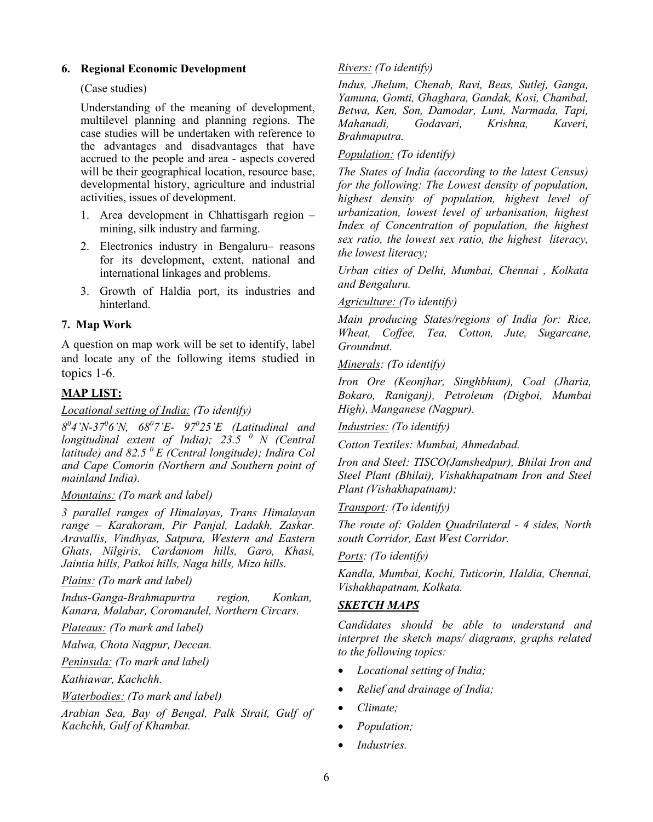## **6. Regional Economic Development**

## (Case studies)

Understanding of the meaning of development, multilevel planning and planning regions. The case studies will be undertaken with reference to the advantages and disadvantages that have accrued to the people and area - aspects covered will be their geographical location, resource base, developmental history, agriculture and industrial activities, issues of development.

- 1. Area development in Chhattisgarh region mining, silk industry and farming.
- 2. Electronics industry in Bengaluru– reasons for its development, extent, national and international linkages and problems.
- 3. Growth of Haldia port, its industries and hinterland.

## **7. Map Work**

A question on map work will be set to identify, label and locate any of the following items studied in topics 1-6.

# **MAP LIST:**

#### *Locational setting of India: (To identify)*

*80 4'N-370 6'N, 68<sup>0</sup> 7'E- 97<sup>0</sup> 25'E (Latitudinal and longitudinal extent of India); 23.5 0 N (Central latitude) and 82.5 0 E (Central longitude); Indira Col and Cape Comorin (Northern and Southern point of mainland India).*

#### *Mountains: (To mark and label)*

*3 parallel ranges of Himalayas, Trans Himalayan range – Karakoram, Pir Panjal, Ladakh, Zaskar. Aravallis, Vindhyas, Satpura, Western and Eastern Ghats, Nilgiris, Cardamom hills, Garo, Khasi, Jaintia hills, Patkoi hills, Naga hills, Mizo hills.*

#### *Plains: (To mark and label)*

*Indus-Ganga-Brahmapurtra region, Konkan, Kanara, Malabar, Coromandel, Northern Circars.*

*Plateaus: (To mark and label)*

*Malwa, Chota Nagpur, Deccan.*

*Peninsula: (To mark and label)*

*Kathiawar, Kachchh.* 

*Waterbodies: (To mark and label)*

*Arabian Sea, Bay of Bengal, Palk Strait, Gulf of Kachchh, Gulf of Khambat.*

### *Rivers: (To identify)*

*Indus, Jhelum, Chenab, Ravi, Beas, Sutlej, Ganga, Yamuna, Gomti, Ghaghara, Gandak, Kosi, Chambal, Betwa, Ken, Son, Damodar, Luni, Narmada, Tapi, Mahanadi, Brahmaputra.*

## *Population: (To identify)*

*The States of India (according to the latest Census) for the following: The Lowest density of population, highest density of population, highest level of urbanization, lowest level of urbanisation, highest Index of Concentration of population, the highest sex ratio, the lowest sex ratio, the highest literacy, the lowest literacy;*

*Urban cities of Delhi, Mumbai, Chennai , Kolkata and Bengaluru.*

## *Agriculture: (To identify)*

*Main producing States/regions of India for: Rice, Wheat, Coffee, Tea, Cotton, Jute, Sugarcane, Groundnut.*

## *Minerals: (To identify)*

*Iron Ore (Keonjhar, Singhbhum), Coal (Jharia, Bokaro, Raniganj), Petroleum (Digboi, Mumbai High), Manganese (Nagpur).*

*Industries: (To identify)*

*Cotton Textiles: Mumbai, Ahmedabad.*

*Iron and Steel: TISCO(Jamshedpur), Bhilai Iron and Steel Plant (Bhilai), Vishakhapatnam Iron and Steel Plant (Vishakhapatnam);*

*Transport: (To identify)*

*The route of: Golden Quadrilateral - 4 sides, North south Corridor, East West Corridor.*

*Ports: (To identify)*

*Kandla, Mumbai, Kochi, Tuticorin, Haldia, Chennai, Vishakhapatnam, Kolkata.*

## *SKETCH MAPS*

*Candidates should be able to understand and interpret the sketch maps/ diagrams, graphs related to the following topics:*

- *Locational setting of India;*
- *Relief and drainage of India;*
- *Climate;*
- *Population;*
- *Industries.*